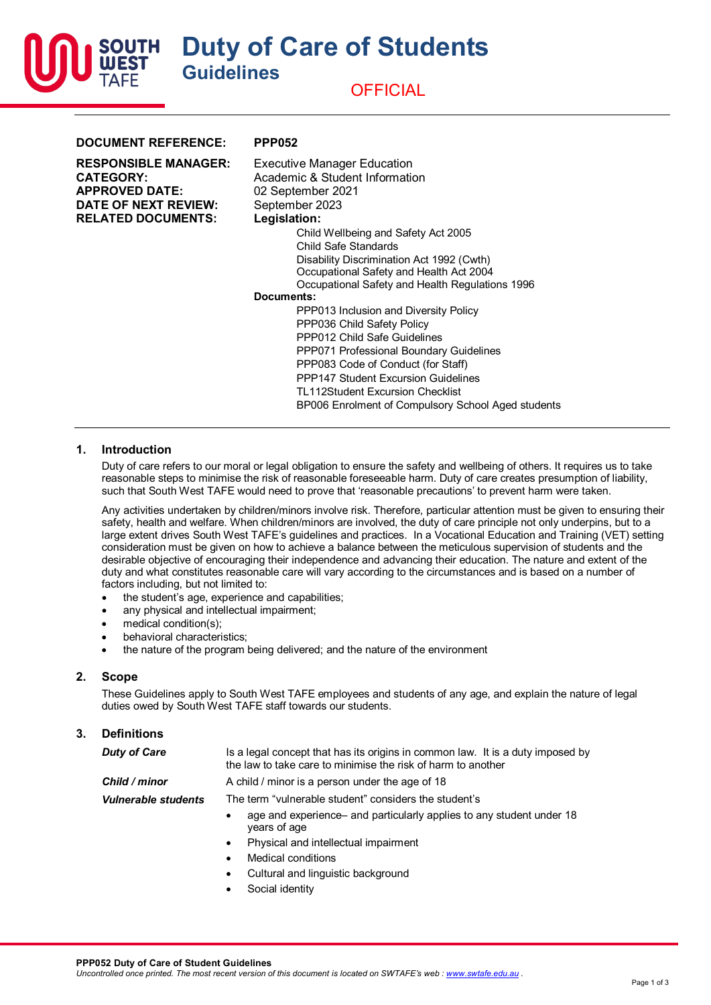**Duty of Care of Students Guidelines**



| <b>Executive Manager Education</b><br>Academic & Student Information<br>02 September 2021                                                                                                                                                                                                                                                                                                                                                                                                                                                                                       |
|---------------------------------------------------------------------------------------------------------------------------------------------------------------------------------------------------------------------------------------------------------------------------------------------------------------------------------------------------------------------------------------------------------------------------------------------------------------------------------------------------------------------------------------------------------------------------------|
| September 2023<br>Legislation:<br>Child Wellbeing and Safety Act 2005<br>Child Safe Standards<br>Disability Discrimination Act 1992 (Cwth)<br>Occupational Safety and Health Act 2004<br>Occupational Safety and Health Regulations 1996<br>Documents:<br>PPP013 Inclusion and Diversity Policy<br>PPP036 Child Safety Policy<br>PPP012 Child Safe Guidelines<br>PPP071 Professional Boundary Guidelines<br>PPP083 Code of Conduct (for Staff)<br>PPP147 Student Excursion Guidelines<br>TL112Student Excursion Checklist<br>BP006 Enrolment of Compulsory School Aged students |
|                                                                                                                                                                                                                                                                                                                                                                                                                                                                                                                                                                                 |
|                                                                                                                                                                                                                                                                                                                                                                                                                                                                                                                                                                                 |

### **1. Introduction**

SOUTH

Duty of care refers to our moral or legal obligation to ensure the safety and wellbeing of others. It requires us to take reasonable steps to minimise the risk of reasonable foreseeable harm. Duty of care creates presumption of liability, such that South West TAFE would need to prove that 'reasonable precautions' to prevent harm were taken.

Any activities undertaken by children/minors involve risk. Therefore, particular attention must be given to ensuring their safety, health and welfare. When children/minors are involved, the duty of care principle not only underpins, but to a large extent drives South West TAFE's guidelines and practices. In a Vocational Education and Training (VET) setting consideration must be given on how to achieve a balance between the meticulous supervision of students and the desirable objective of encouraging their independence and advancing their education. The nature and extent of the duty and what constitutes reasonable care will vary according to the circumstances and is based on a number of factors including, but not limited to:

- the student's age, experience and capabilities;
- any physical and intellectual impairment;
- medical condition(s);
- behavioral characteristics:
- the nature of the program being delivered; and the nature of the environment

## **2. Scope**

These Guidelines apply to South West TAFE employees and students of any age, and explain the nature of legal duties owed by South West TAFE staff towards our students.

#### **3. Definitions**

| <b>Duty of Care</b>        | Is a legal concept that has its origins in common law. It is a duty imposed by<br>the law to take care to minimise the risk of harm to another |
|----------------------------|------------------------------------------------------------------------------------------------------------------------------------------------|
| Child / minor              | A child / minor is a person under the age of 18                                                                                                |
| <b>Vulnerable students</b> | The term "vulnerable student" considers the student's                                                                                          |
|                            | age and experience and particularly applies to any student under 18<br>years of age                                                            |
|                            | Physical and intellectual impairment<br>$\bullet$                                                                                              |
|                            | Medical conditions                                                                                                                             |

- Cultural and linguistic background
- Social identity

**PPP052 Duty of Care of Student Guidelines**

*Uncontrolled once printed. The most recent version of this document is located on SWTAFE's web : [www.swtafe.edu.au](http://www.swtafe.edu.au/) .*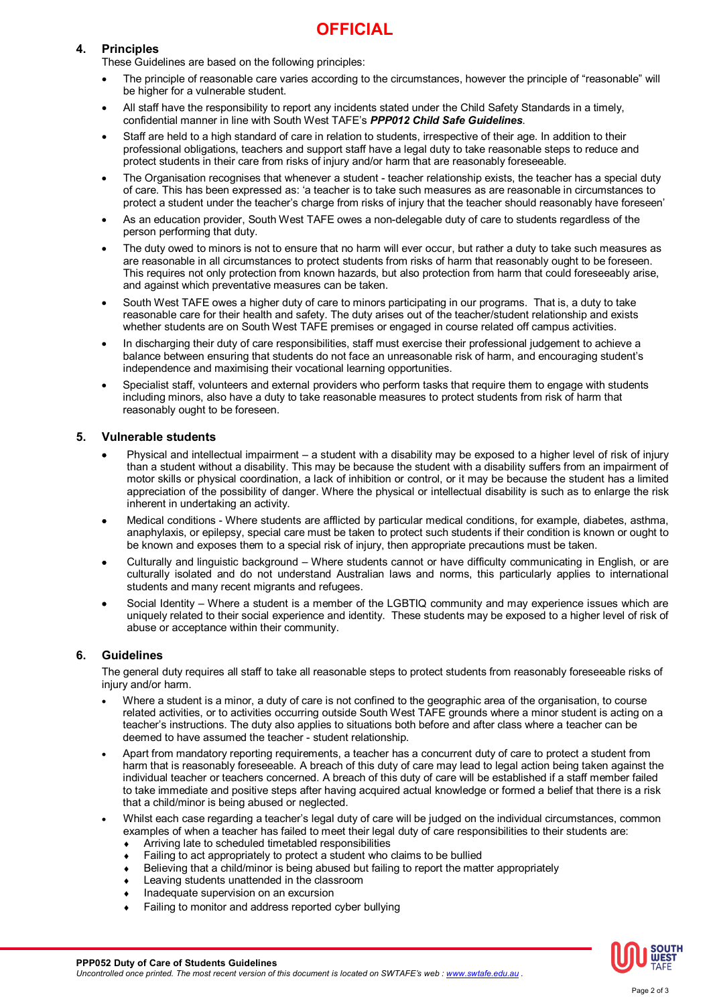# **OFFICIAL**

# **4. Principles**

These Guidelines are based on the following principles:

- The principle of reasonable care varies according to the circumstances, however the principle of "reasonable" will be higher for a vulnerable student.
- All staff have the responsibility to report any incidents stated under the Child Safety Standards in a timely, confidential manner in line with South West TAFE's *PPP012 Child Safe Guidelines*.
- Staff are held to a high standard of care in relation to students, irrespective of their age. In addition to their professional obligations, teachers and support staff have a legal duty to take reasonable steps to reduce and protect students in their care from risks of injury and/or harm that are reasonably foreseeable.
- The Organisation recognises that whenever a student teacher relationship exists, the teacher has a special duty of care. This has been expressed as: 'a teacher is to take such measures as are reasonable in circumstances to protect a student under the teacher's charge from risks of injury that the teacher should reasonably have foreseen'
- As an education provider, South West TAFE owes a non-delegable duty of care to students regardless of the person performing that duty.
- The duty owed to minors is not to ensure that no harm will ever occur, but rather a duty to take such measures as are reasonable in all circumstances to protect students from risks of harm that reasonably ought to be foreseen. This requires not only protection from known hazards, but also protection from harm that could foreseeably arise, and against which preventative measures can be taken.
- South West TAFE owes a higher duty of care to minors participating in our programs. That is, a duty to take reasonable care for their health and safety. The duty arises out of the teacher/student relationship and exists whether students are on South West TAFE premises or engaged in course related off campus activities.
- In discharging their duty of care responsibilities, staff must exercise their professional judgement to achieve a balance between ensuring that students do not face an unreasonable risk of harm, and encouraging student's independence and maximising their vocational learning opportunities.
- Specialist staff, volunteers and external providers who perform tasks that require them to engage with students including minors, also have a duty to take reasonable measures to protect students from risk of harm that reasonably ought to be foreseen.

# **5. Vulnerable students**

- Physical and intellectual impairment a student with a disability may be exposed to a higher level of risk of injury than a student without a disability. This may be because the student with a disability suffers from an impairment of motor skills or physical coordination, a lack of inhibition or control, or it may be because the student has a limited appreciation of the possibility of danger. Where the physical or intellectual disability is such as to enlarge the risk inherent in undertaking an activity.
- Medical conditions Where students are afflicted by particular medical conditions, for example, diabetes, asthma, anaphylaxis, or epilepsy, special care must be taken to protect such students if their condition is known or ought to be known and exposes them to a special risk of injury, then appropriate precautions must be taken.
- Culturally and linguistic background Where students cannot or have difficulty communicating in English, or are culturally isolated and do not understand Australian laws and norms, this particularly applies to international students and many recent migrants and refugees.
- Social Identity Where a student is a member of the LGBTIQ community and may experience issues which are uniquely related to their social experience and identity. These students may be exposed to a higher level of risk of abuse or acceptance within their community.

### **6. Guidelines**

The general duty requires all staff to take all reasonable steps to protect students from reasonably foreseeable risks of injury and/or harm.

- Where a student is a minor, a duty of care is not confined to the geographic area of the organisation, to course related activities, or to activities occurring outside South West TAFE grounds where a minor student is acting on a teacher's instructions. The duty also applies to situations both before and after class where a teacher can be deemed to have assumed the teacher - student relationship.
- Apart from mandatory reporting requirements, a teacher has a concurrent duty of care to protect a student from harm that is reasonably foreseeable. A breach of this duty of care may lead to legal action being taken against the individual teacher or teachers concerned. A breach of this duty of care will be established if a staff member failed to take immediate and positive steps after having acquired actual knowledge or formed a belief that there is a risk that a child/minor is being abused or neglected.
- Whilst each case regarding a teacher's legal duty of care will be judged on the individual circumstances, common examples of when a teacher has failed to meet their legal duty of care responsibilities to their students are:
	- Arriving late to scheduled timetabled responsibilities
	- Failing to act appropriately to protect a student who claims to be bullied
	- Believing that a child/minor is being abused but failing to report the matter appropriately
	- Leaving students unattended in the classroom
	- Inadequate supervision on an excursion
	- Failing to monitor and address reported cyber bullying